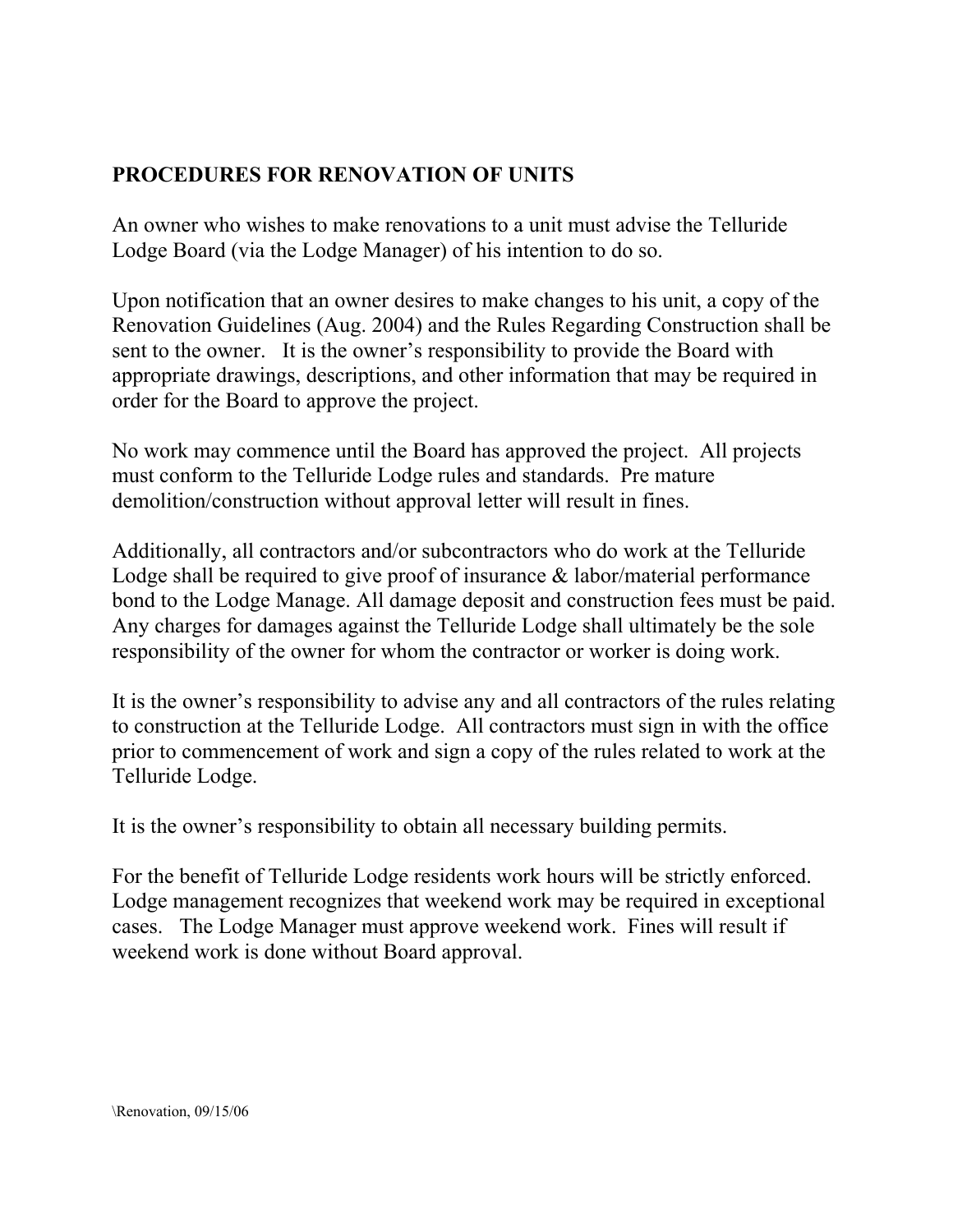## PROCEDURES FOR RENOVATION OF UNITS

An owner who wishes to make renovations to a unit must advise the Telluride Lodge Board (via the Lodge Manager) of his intention to do so.

Upon notification that an owner desires to make changes to his unit, a copy of the Renovation Guidelines (Aug. 2004) and the Rules Regarding Construction shall be sent to the owner. It is the owner's responsibility to provide the Board with appropriate drawings, descriptions, and other information that may be required in order for the Board to approve the project.

No work may commence until the Board has approved the project. All projects must conform to the Telluride Lodge rules and standards. Pre mature demolition/construction without approval letter will result in fines.

Additionally, all contractors and/or subcontractors who do work at the Telluride Lodge shall be required to give proof of insurance & labor/material performance bond to the Lodge Manage. All damage deposit and construction fees must be paid. Any charges for damages against the Telluride Lodge shall ultimately be the sole responsibility of the owner for whom the contractor or worker is doing work.

It is the owner's responsibility to advise any and all contractors of the rules relating to construction at the Telluride Lodge. All contractors must sign in with the office prior to commencement of work and sign a copy of the rules related to work at the Telluride Lodge.

It is the owner's responsibility to obtain all necessary building permits.

For the benefit of Telluride Lodge residents work hours will be strictly enforced. Lodge management recognizes that weekend work may be required in exceptional cases. The Lodge Manager must approve weekend work. Fines will result if weekend work is done without Board approval.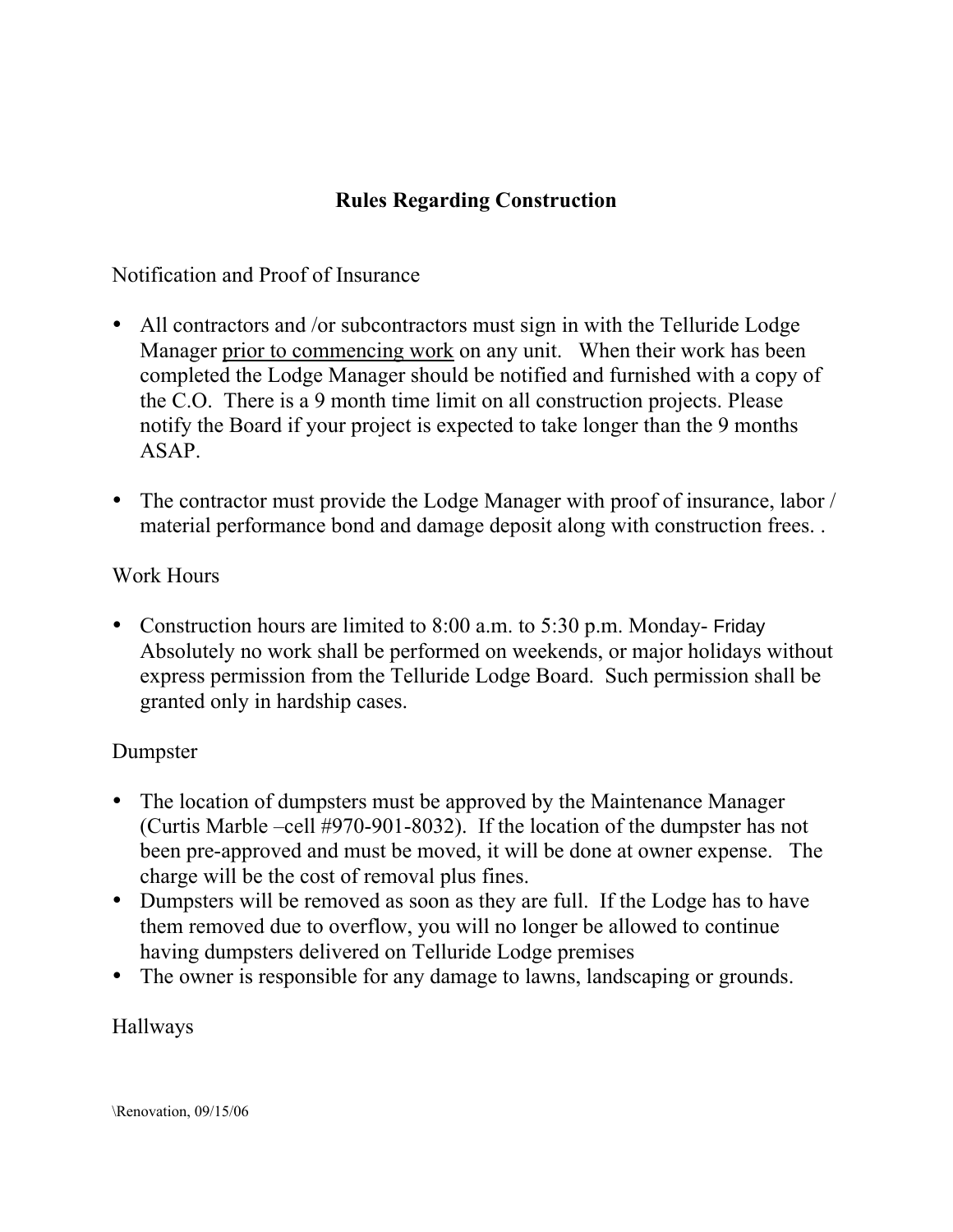## Rules Regarding Construction

Notification and Proof of Insurance

- All contractors and /or subcontractors must sign in with the Telluride Lodge Manager prior to commencing work on any unit. When their work has been completed the Lodge Manager should be notified and furnished with a copy of the C.O. There is a 9 month time limit on all construction projects. Please notify the Board if your project is expected to take longer than the 9 months ASAP.
- The contractor must provide the Lodge Manager with proof of insurance, labor / material performance bond and damage deposit along with construction frees. .

#### Work Hours

• Construction hours are limited to  $8:00$  a.m. to  $5:30$  p.m. Monday- Friday Absolutely no work shall be performed on weekends, or major holidays without express permission from the Telluride Lodge Board. Such permission shall be granted only in hardship cases.

### Dumpster

- The location of dumpsters must be approved by the Maintenance Manager (Curtis Marble –cell #970-901-8032). If the location of the dumpster has not been pre-approved and must be moved, it will be done at owner expense. The charge will be the cost of removal plus fines.
- Dumpsters will be removed as soon as they are full. If the Lodge has to have them removed due to overflow, you will no longer be allowed to continue having dumpsters delivered on Telluride Lodge premises
- The owner is responsible for any damage to lawns, landscaping or grounds.

#### Hallways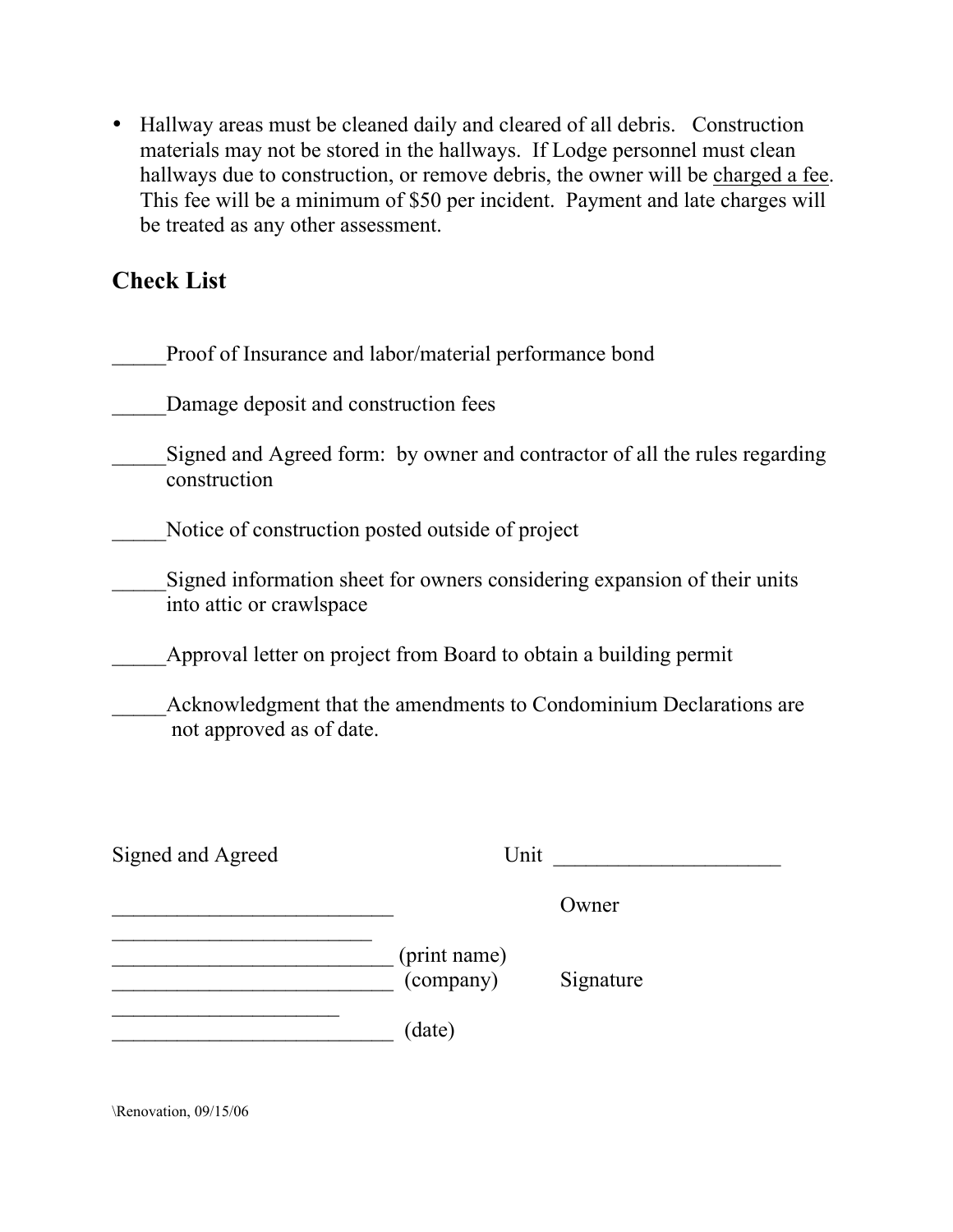• Hallway areas must be cleaned daily and cleared of all debris. Construction materials may not be stored in the hallways. If Lodge personnel must clean hallways due to construction, or remove debris, the owner will be charged a fee. This fee will be a minimum of \$50 per incident. Payment and late charges will be treated as any other assessment.

# Check List

| Proof of Insurance and labor/material performance bond            |                           |                                                                            |
|-------------------------------------------------------------------|---------------------------|----------------------------------------------------------------------------|
| Damage deposit and construction fees                              |                           |                                                                            |
| construction                                                      |                           | Signed and Agreed form: by owner and contractor of all the rules regarding |
| Notice of construction posted outside of project                  |                           |                                                                            |
| into attic or crawlspace                                          |                           | Signed information sheet for owners considering expansion of their units   |
| Approval letter on project from Board to obtain a building permit |                           |                                                                            |
| not approved as of date.                                          |                           | Acknowledgment that the amendments to Condominium Declarations are         |
| Signed and Agreed                                                 |                           | Unit                                                                       |
|                                                                   |                           | Owner                                                                      |
|                                                                   | (print name)<br>(company) | Signature                                                                  |
|                                                                   | (date)                    |                                                                            |

\Renovation, 09/15/06